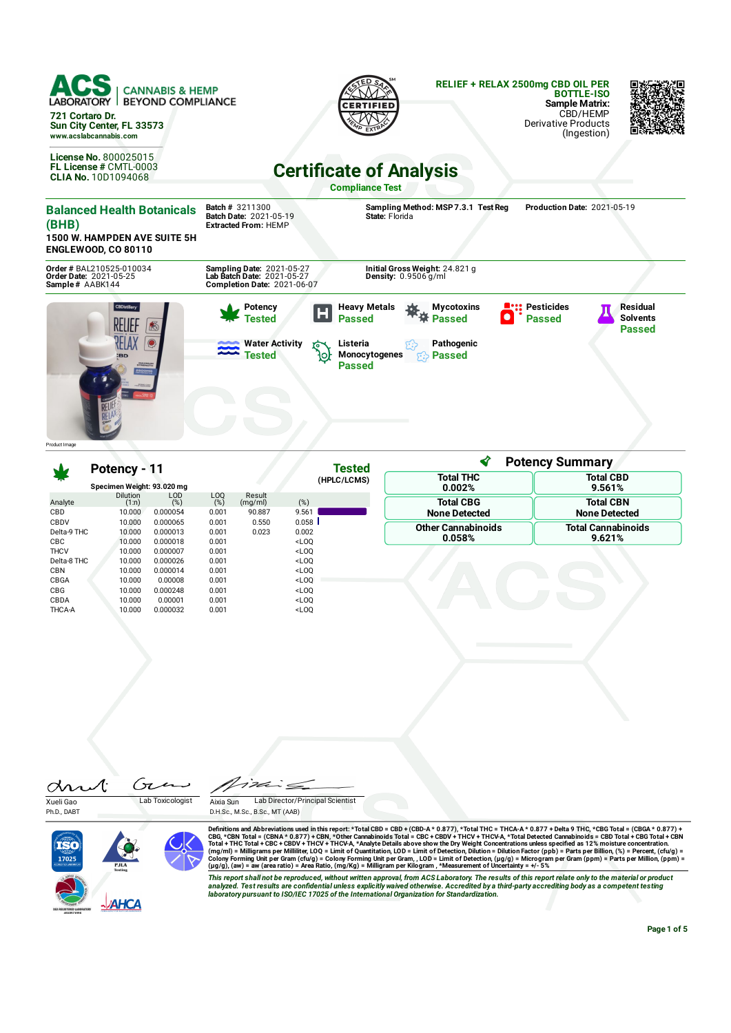

|                                   | Potency - 11                       |                                  |                                  |                             | Tested                                                      | <b>Potency Summary</b>                   |                                          |  |  |
|-----------------------------------|------------------------------------|----------------------------------|----------------------------------|-----------------------------|-------------------------------------------------------------|------------------------------------------|------------------------------------------|--|--|
|                                   | Specimen Weight: 93.020 mg         |                                  |                                  |                             | (HPLC/LCMS)                                                 | <b>Total THC</b><br>0.002%               | <b>Total CBD</b><br>9.561%               |  |  |
| Analyte<br>CBD                    | <b>Dilution</b><br>(1:n)<br>10.000 | LOD<br>(%)<br>0.000054           | L <sub>O</sub> O<br>(%)<br>0.001 | Result<br>(mq/ml)<br>90.887 | (%)<br>9.561                                                | <b>Total CBG</b><br><b>None Detected</b> | <b>Total CBN</b><br><b>None Detected</b> |  |  |
| CBDV<br>Delta-9 THC<br><b>CBC</b> | 10.000<br>10.000<br>10.000         | 0.000065<br>0.000013<br>0.000018 | 0.001<br>0.001<br>0.001          | 0.550<br>0.023              | 0.058<br>0.002<br>$<$ LOO                                   | <b>Other Cannabinoids</b><br>0.058%      | <b>Total Cannabinoids</b><br>9.621%      |  |  |
| <b>THCV</b><br>Delta-8 THC<br>CBN | 10.000<br>10.000<br>10.000         | 0.000007<br>0.000026<br>0.000014 | 0.001<br>0.001<br>0.001          |                             | $<$ LOO<br>$<$ LOQ<br>$<$ LOQ                               |                                          |                                          |  |  |
| CBGA<br><b>CBG</b><br>CBDA        | 10.000<br>10.000<br>10.000         | 0.00008<br>0.000248<br>0.00001   | 0.001<br>0.001<br>0.001          |                             | $<$ LOO<br>$<$ LOO<br><loq< td=""><td></td><td></td></loq<> |                                          |                                          |  |  |
| <b>THCA-A</b>                     | 10.000                             | 0.000032                         | 0.001                            |                             | $<$ LOQ                                                     |                                          |                                          |  |  |

Gia drut

Xueli Gao Lab Toxicologist Ph.D., DABT

'I'A  $\dot{=}$ Aixia Sun Lab Director/Principal Scientist D.H.Sc., M.Sc., B.Sc., MT (AAB)



Definitions and Abbreviations used in this report: \*Total CBD = CBD + (CBD-A \* 0.877), \*Total THC = THCA-A \* 0.877) + Delta 9 THC, \*CBG Total = (CBGA \* 0.877) +<br>CBG, \*CBN Total = (CBNA \* 0.877) + CBN, \*Other Cannabinoids T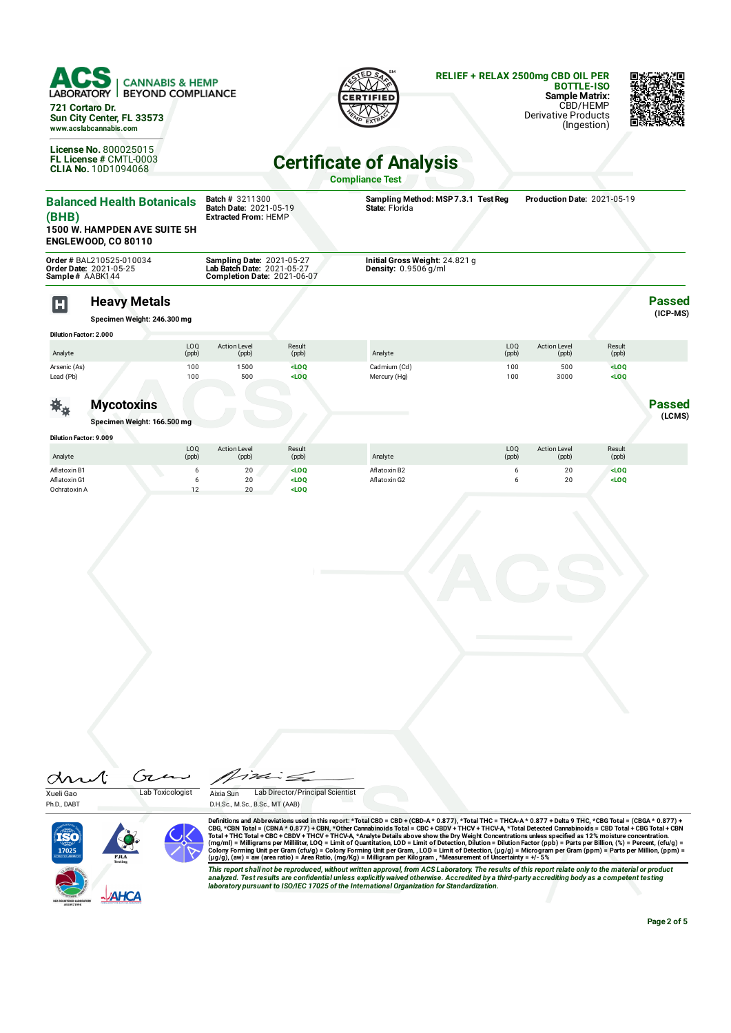

**State:** Florida

| (BHB)                                        | <b>1500 W. HAMPDEN AVE SUITE 5H</b><br><b>ENGLEWOOD, CO 80110</b> | <b>Batch Date: 2021-05-19</b><br><b>Extracted From: HEMP</b>                           |                               | State: Florida                                                  |                          |                              |                    |                           |
|----------------------------------------------|-------------------------------------------------------------------|----------------------------------------------------------------------------------------|-------------------------------|-----------------------------------------------------------------|--------------------------|------------------------------|--------------------|---------------------------|
| Sample # AABK144                             | Order # BAL210525-010034<br>Order Date: 2021-05-25                | Sampling Date: 2021-05-27<br>Lab Batch Date: 2021-05-27<br>Completion Date: 2021-06-07 |                               | Initial Gross Weight: 24.821 g<br><b>Density:</b> $0.9506$ g/ml |                          |                              |                    |                           |
| $\mathbf H$<br><b>Dilution Factor: 2.000</b> | <b>Heavy Metals</b><br>Specimen Weight: 246.300 mg                |                                                                                        |                               |                                                                 |                          |                              |                    | <b>Passed</b><br>(ICP-MS) |
| Analyte                                      | LOQ<br>(ppb)                                                      | <b>Action Level</b><br>(ppb)                                                           | Result<br>(ppb)               | Analyte                                                         | LO <sub>0</sub><br>(ppb) | <b>Action Level</b><br>(ppb) | Result<br>(ppb)    |                           |
| Arsenic (As)<br>Lead (Pb)                    | 100<br>100                                                        | 1500<br>500                                                                            | LOO<br>$<$ LOQ                | Cadmium (Cd)<br>Mercury (Hg)                                    | 100<br>100               | 500<br>3000                  | LOO<br>$<$ LOQ     |                           |
| Ж,                                           | <b>Mycotoxins</b><br>Specimen Weight: 166.500 mg                  |                                                                                        |                               |                                                                 |                          |                              |                    | <b>Passed</b><br>(LCMS)   |
| <b>Dilution Factor: 9.009</b><br>Analyte     | LOQ<br>(ppb)                                                      | <b>Action Level</b><br>(ppb)                                                           | Result<br>(ppb)               | Analyte                                                         | LOQ<br>(ppb)             | <b>Action Level</b><br>(ppb) | Result<br>(ppb)    |                           |
| Aflatoxin B1<br>Aflatoxin G1<br>Ochratoxin A | 6<br>6<br>12                                                      | 20<br>20<br>20                                                                         | $<$ LOO<br>$<$ LOQ<br>$<$ LOO | Aflatoxin B2<br>Aflatoxin G2                                    | 6<br>6                   | 20<br>20                     | $<$ LOO<br>$<$ LOQ |                           |

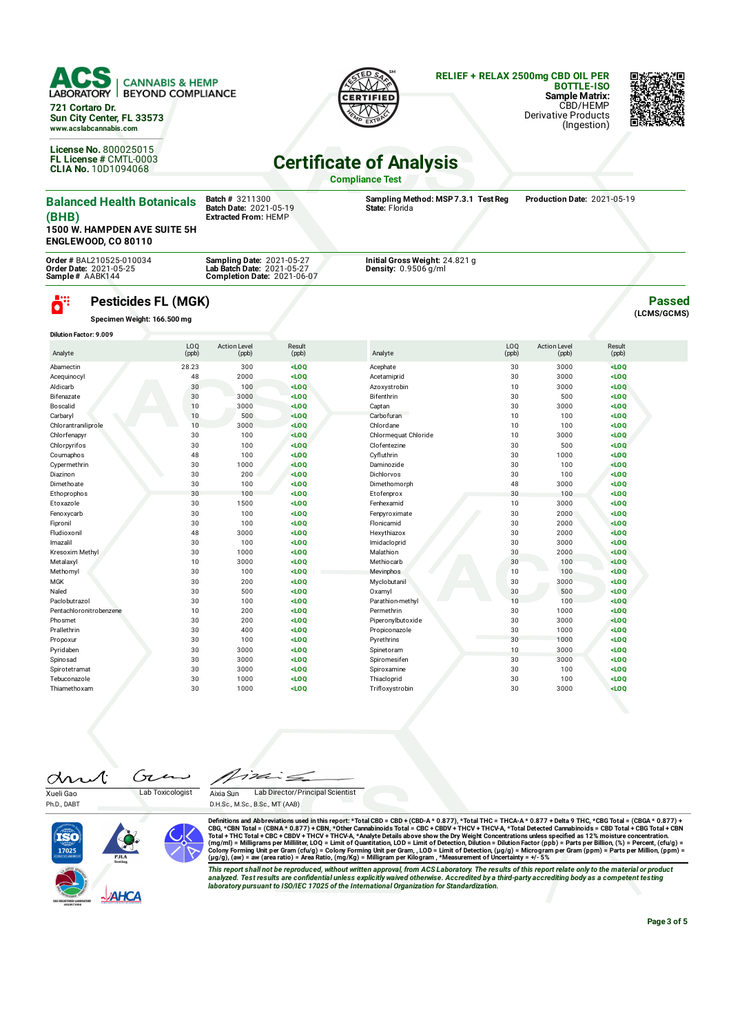

**721 Cortaro Dr. Sun City Center, FL 33573 www.acslabcannabis.com**

**License No.** 800025015 **FL License #** CMTL-0003 **CLIA No.** 10D1094068



## **RELIEF + RELAX 2500mg CBD OIL PER BOTTLE-ISO**

**Sample Matrix:** CBD/HEMP Derivative Products (Ingestion)



## **Certicate of Analysis**

**Compliance Test**

| <b>Balanced Health Botanicals</b><br>(BHB)<br><b>1500 W. HAMPDEN AVE SUITE 5H</b><br><b>ENGLEWOOD, CO 80110</b> | <b>Batch # 3211300</b><br><b>Batch Date: 2021-05-19</b><br><b>Extracted From: HEMP</b>               |        | Sampling Method: MSP 7.3.1 Test Req<br>State: Florida    |                 | Production Date: 2021-05-19 |        |                              |
|-----------------------------------------------------------------------------------------------------------------|------------------------------------------------------------------------------------------------------|--------|----------------------------------------------------------|-----------------|-----------------------------|--------|------------------------------|
| Order # BAL210525-010034<br><b>Order Date: 2021-05-25</b><br>Sample# AABK144                                    | <b>Sampling Date: 2021-05-27</b><br>Lab Batch Date: 2021-05-27<br><b>Completion Date: 2021-06-07</b> |        | Initial Gross Weight: 24.821 g<br>Density: $0.9506$ g/ml |                 |                             |        |                              |
| ö"<br><b>Pesticides FL (MGK)</b><br>Specimen Weight: 166.500 mg<br><b>Dilution Factor: 9.009</b>                |                                                                                                      |        |                                                          |                 |                             |        | <b>Passed</b><br>(LCMS/GCMS) |
|                                                                                                                 | LO <sub>0</sub><br><b>Action Level</b>                                                               | Result |                                                          | LO <sub>0</sub> | <b>Action Level</b>         | Result |                              |

| Analyte                 | (ppb) | (ppb) | (ppb)   | Analyte              | (ppb) | (ppb) | (ppb)   |  |
|-------------------------|-------|-------|---------|----------------------|-------|-------|---------|--|
| Abamectin               | 28.23 | 300   | LOO     | Acephate             | 30    | 3000  | $<$ LOQ |  |
| Acequinocyl             | 48    | 2000  | $<$ LOQ | Acetamiprid          | 30    | 3000  | $<$ LOQ |  |
| Aldicarb                | 30    | 100   | $<$ LOQ | Azoxystrobin         | 10    | 3000  | LOO     |  |
| Bifenazate              | 30    | 3000  | LOO     | Bifenthrin           | 30    | 500   | $<$ LOQ |  |
| Boscalid                | 10    | 3000  | $<$ LOQ | Captan               | 30    | 3000  | $<$ LOQ |  |
| Carbaryl                | 10    | 500   | $<$ LOQ | Carbofuran           | 10    | 100   | $<$ LOQ |  |
| Chlorantraniliprole     | 10    | 3000  | $<$ LOQ | Chlordane            | 10    | 100   | $<$ LOQ |  |
| Chlorfenapyr            | 30    | 100   | LOO     | Chlormequat Chloride | 10    | 3000  | $<$ LOQ |  |
| Chlorpyrifos            | 30    | 100   | $<$ LOQ | Clofentezine         | 30    | 500   | LOO     |  |
| Coumaphos               | 48    | 100   | $<$ LOQ | Cyfluthrin           | 30    | 1000  | $<$ LOQ |  |
| Cypermethrin            | 30    | 1000  | LOO     | Daminozide           | 30    | 100   | $<$ LOQ |  |
| Diazinon                | 30    | 200   | $<$ LOQ | Dichlorvos           | 30    | 100   | $<$ LOQ |  |
| Dimethoate              | 30    | 100   | $<$ LOQ | Dimethomorph         | 48    | 3000  | $<$ LOO |  |
| Ethoprophos             | 30    | 100   | $<$ LOQ | Etofenprox           | 30    | 100   | $<$ LOQ |  |
| Etoxazole               | 30    | 1500  | $<$ LOQ | Fenhexamid           | 10    | 3000  | $<$ LOQ |  |
| Fenoxycarb              | 30    | 100   | $<$ LOQ | Fenpyroximate        | 30    | 2000  | $<$ LOO |  |
| Fipronil                | 30    | 100   | $<$ LOQ | Flonicamid           | 30    | 2000  | $<$ LOQ |  |
| Fludioxonil             | 48    | 3000  | $<$ LOQ | Hexythiazox          | 30    | 2000  | $<$ LOQ |  |
| Imazalil                | 30    | 100   | $<$ LOQ | Imidacloprid         | 30    | 3000  | $<$ LOQ |  |
| Kresoxim Methyl         | 30    | 1000  | $<$ LOQ | Malathion            | 30    | 2000  | $<$ LOQ |  |
| Metalaxyl               | 10    | 3000  | $<$ LOQ | Methiocarb           | 30    | 100   | $<$ LOQ |  |
| Methomyl                | 30    | 100   | LOO     | Mevinphos            | 10    | 100   | LOO     |  |
| MGK                     | 30    | 200   | $<$ LOQ | Myclobutanil         | 30    | 3000  | $<$ LOQ |  |
| Naled                   | 30    | 500   | $<$ LOQ | Oxamyl               | 30    | 500   | $<$ LOQ |  |
| Paclobutrazol           | 30    | 100   | $<$ LOQ | Parathion-methyl     | 10    | 100   | $<$ LOQ |  |
| Pentachloronitrobenzene | 10    | 200   | $<$ LOQ | Permethrin           | 30    | 1000  | $<$ LOQ |  |
| Phosmet                 | 30    | 200   | $<$ LOQ | Piperonylbutoxide    | 30    | 3000  | $<$ LOO |  |
| Prallethrin             | 30    | 400   | $<$ LOQ | Propiconazole        | 30    | 1000  | $<$ LOQ |  |
| Propoxur                | 30    | 100   | $<$ LOQ | Pyrethrins           | 30    | 1000  | $<$ LOQ |  |
| Pyridaben               | 30    | 3000  | $<$ LOQ | Spinetoram           | 10    | 3000  | $<$ LOQ |  |
| Spinosad                | 30    | 3000  | $<$ LOQ | Spiromesifen         | 30    | 3000  | $<$ LOQ |  |
| Spirotetramat           | 30    | 3000  | $<$ LOQ | Spiroxamine          | 30    | 100   | $<$ LOQ |  |
| Tebuconazole            | 30    | 1000  | $<$ LOQ | Thiacloprid          | 30    | 100   | $<$ LOQ |  |
| Thiamethoxam            | 30    | 1000  | $<$ LOQ | Trifloxystrobin      | 30    | 3000  | LOO     |  |

drut Ćτ  $\overline{\phantom{a}}$ Xueli Gao Lab Toxicologist

Aixia Sun Lab Director/Principal Scientist

Ph.D., DABT

D.H.Sc., M.Sc., B.Sc., MT (AAB)



Definitions and Abbreviations used in this report: \*Total CBD = CBD + (CBD-A \* 0.877), \*Total THC = THCA-A \* 0.877) + Delta 9 THC, \*CBG Total = (CBGA \* 0.877) + Total THC = THCA-A \* 0.877) + Total THC = THCA-A \* 0.877 + De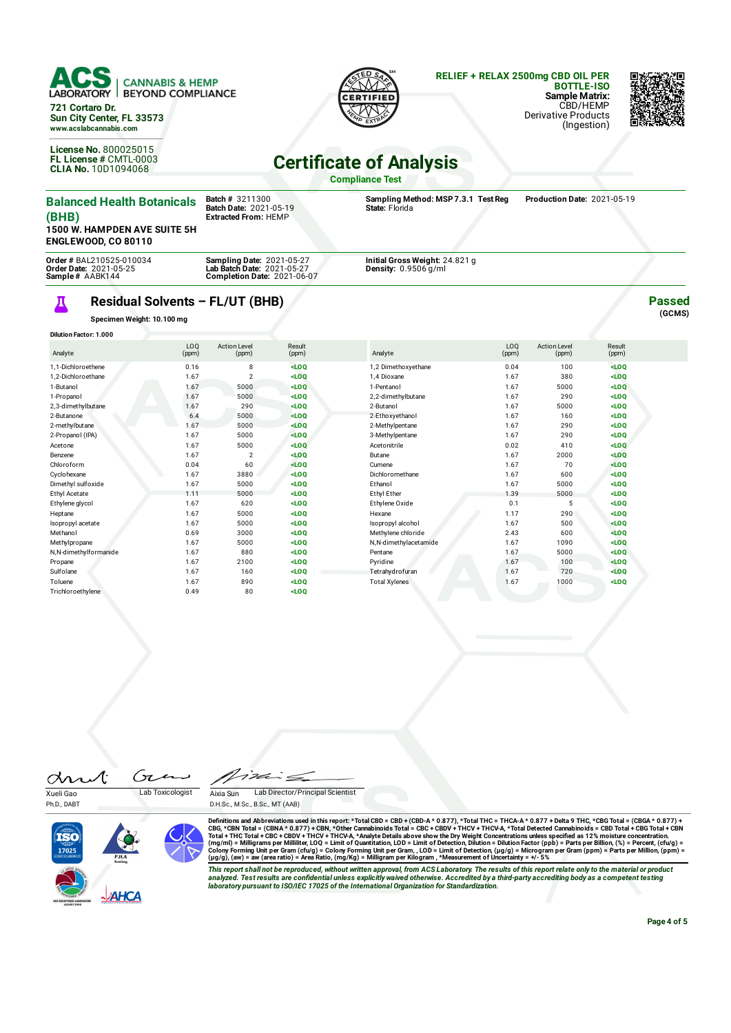



**Passed (GCMS)**

## **Certificate of Analysis**

**Compliance Test**

| <b>Balanced Health Botanicals</b><br>(BHB)<br><b>1500 W. HAMPDEN AVE SUITE 5H</b><br><b>ENGLEWOOD, CO 80110</b> | <b>Batch</b> # 3211300<br><b>Batch Date: 2021-05-19</b><br><b>Extracted From: HEMP</b>               | Sampling Method: MSP 7.3.1 Test Req<br>State: Florida          | Production Date: 2021-05-19 |
|-----------------------------------------------------------------------------------------------------------------|------------------------------------------------------------------------------------------------------|----------------------------------------------------------------|-----------------------------|
| <b>Order # BAL210525-010034</b><br><b>Order Date: 2021-05-25</b><br>Sample# AABK144                             | <b>Sampling Date: 2021-05-27</b><br>Lab Batch Date: 2021-05-27<br><b>Completion Date: 2021-06-07</b> | Initial Gross Weight: 24.821 g<br><b>Density:</b> $0.9506q/ml$ |                             |

## **Residual Solvents – FL/UT (BHB)**

**Specimen Weight: 10.100 mg**

Д

**License No.** 800025015 **FL License #** CMTL-0003 **CLIA No.** 10D1094068

| <b>Dilution Factor: 1.000</b> |                          |                              |                 |                       |              |                              |                 |  |
|-------------------------------|--------------------------|------------------------------|-----------------|-----------------------|--------------|------------------------------|-----------------|--|
| Analyte                       | LO <sub>0</sub><br>(ppm) | <b>Action Level</b><br>(ppm) | Result<br>(ppm) | Analyte               | LOQ<br>(ppm) | <b>Action Level</b><br>(ppm) | Result<br>(ppm) |  |
| 1.1-Dichloroethene            | 0.16                     | 8                            | $<$ LOQ         | 1,2 Dimethoxyethane   | 0.04         | 100                          | $<$ LOQ         |  |
| 1.2-Dichloroethane            | 1.67                     | $\mathcal{P}$                | $<$ LOQ         | 1.4 Dioxane           | 1.67         | 380                          | $<$ LOQ         |  |
| 1-Butanol                     | 1.67                     | 5000                         | $<$ LOQ         | 1-Pentanol            | 1.67         | 5000                         | $<$ LOQ         |  |
| 1-Propanol                    | 1.67                     | 5000                         | $<$ LOQ         | 2,2-dimethylbutane    | 1.67         | 290                          | $<$ LOQ         |  |
| 2,3-dimethylbutane            | 1.67                     | 290                          | $<$ LOQ         | 2-Butanol             | 1.67         | 5000                         | $<$ LOQ         |  |
| 2-Butanone                    | 6.4                      | 5000                         | $<$ LOQ         | 2-Ethoxyethanol       | 1.67         | 160                          | $<$ LOQ         |  |
| 2-methylbutane                | 1.67                     | 5000                         | $<$ LOQ         | 2-Methylpentane       | 1.67         | 290                          | $<$ LOQ         |  |
| 2-Propanol (IPA)              | 1.67                     | 5000                         | $<$ LOQ         | 3-Methylpentane       | 1.67         | 290                          | $<$ LOQ         |  |
| Acetone                       | 1.67                     | 5000                         | LOO             | Acetonitrile          | 0.02         | 410                          | $<$ LOQ         |  |
| Benzene                       | 1.67                     | 2                            | $<$ LOQ         | Butane                | 1.67         | 2000                         | $<$ LOQ         |  |
| Chloroform                    | 0.04                     | 60                           | LOO             | Cumene                | 1.67         | 70                           | $<$ LOQ         |  |
| Cyclohexane                   | 1.67                     | 3880                         | $<$ LOQ         | Dichloromethane       | 1.67         | 600                          | $<$ LOQ         |  |
| Dimethyl sulfoxide            | 1.67                     | 5000                         | $<$ LOQ         | Ethanol               | 1.67         | 5000                         | $<$ LOQ         |  |
| Ethyl Acetate                 | 1.11                     | 5000                         | $<$ LOQ         | Ethyl Ether           | 1.39         | 5000                         | $<$ LOQ         |  |
| Ethylene glycol               | 1.67                     | 620                          | $<$ LOQ         | Ethylene Oxide        | 0.1          | 5                            | $<$ LOQ         |  |
| Heptane                       | 1.67                     | 5000                         | $<$ LOQ         | Hexane                | 1.17         | 290                          | $<$ LOQ         |  |
| Isopropyl acetate             | 1.67                     | 5000                         | $<$ LOQ         | Isopropyl alcohol     | 1.67         | 500                          | LOO             |  |
| Methanol                      | 0.69                     | 3000                         | $<$ LOQ         | Methylene chloride    | 2.43         | 600                          | $<$ LOQ         |  |
| Methylpropane                 | 1.67                     | 5000                         | $<$ LOQ         | N,N-dimethylacetamide | 1.67         | 1090                         | $<$ LOQ         |  |
| N,N-dimethylformanide         | 1.67                     | 880                          | $<$ LOQ         | Pentane               | 1.67         | 5000                         | $<$ LOQ         |  |
| Propane                       | 1.67                     | 2100                         | $<$ LOQ         | Pyridine              | 1.67         | 100                          | $<$ LOQ         |  |
| Sulfolane                     | 1.67                     | 160                          | $<$ LOQ         | Tetrahydrofuran       | 1.67         | 720                          | $<$ LOQ         |  |
| Toluene                       | 1.67                     | 890                          | $<$ LOQ         | <b>Total Xylenes</b>  | 1.67         | 1000                         | $<$ LOQ         |  |
| Trichloroethvlene             | 0.49                     | 80                           | $<$ LOO         |                       |              |                              |                 |  |

drut Ćτ  $\overline{\phantom{a}}$ Xueli Gao Lab Toxicologist

Aixia Sun Lab Director/Principal Scientist

D.H.Sc., M.Sc., B.Sc., MT (AAB)



Ph.D., DART

Definitions and Abbreviations used in this report: \*Total CBD = CBD + (CBD-A \* 0.877), \*Total THC = THCA-A \* 0.877) + Delta 9 THC, \*CBG Total = (CBGA \* 0.877) + Total THC = THCA-A \* 0.877) + Total THC = THCA-A \* 0.877 + De

This report shall not be reproduced, without written approval, from ACS Laboratory. The results of this report relate only to the material or product<br>analyzed. Test results are confidential unless explicitly waived otherwi

**Page 4 of 5**